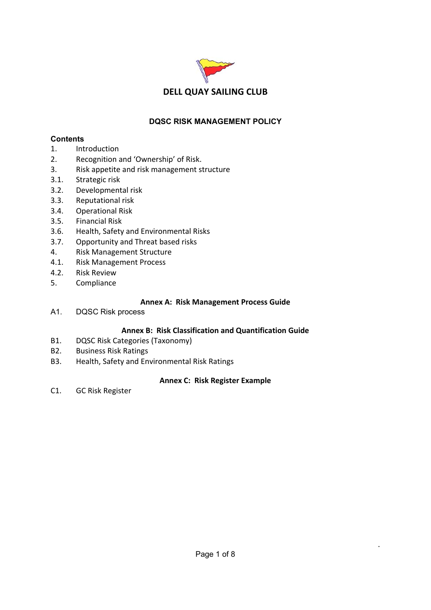

## **DQSC RISK MANAGEMENT POLICY**

## **Contents**

- 1. Introduction
- 2. Recognition and 'Ownership' of Risk.
- 3. Risk appetite and risk management structure
- 3.1. Strategic risk
- 3.2. Developmental risk
- 3.3. Reputational risk
- 3.4. Operational Risk
- 3.5. Financial Risk
- 3.6. Health, Safety and Environmental Risks
- 3.7. Opportunity and Threat based risks
- 4. Risk Management Structure
- 4.1. Risk Management Process
- 4.2. Risk Review
- 5. Compliance

## **Annex A: Risk Management Process Guide**

A1. DQSC Risk process

## **Annex B: Risk Classification and Quantification Guide**

- B1. DQSC Risk Categories (Taxonomy)
- B2. Business Risk Ratings
- B3. Health, Safety and Environmental Risk Ratings

## **Annex C: Risk Register Example**

C1. GC Risk Register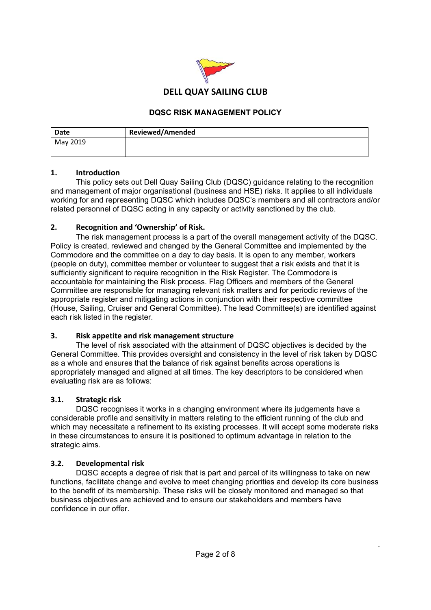

#### **DQSC RISK MANAGEMENT POLICY**

| Date     | <b>Reviewed/Amended</b> |
|----------|-------------------------|
| May 2019 |                         |
|          |                         |

#### **1. Introduction**

 This policy sets out Dell Quay Sailing Club (DQSC) guidance relating to the recognition and management of major organisational (business and HSE) risks. It applies to all individuals working for and representing DQSC which includes DQSC's members and all contractors and/or related personnel of DQSC acting in any capacity or activity sanctioned by the club.

#### **2. Recognition and 'Ownership' of Risk.**

 The risk management process is a part of the overall management activity of the DQSC. Policy is created, reviewed and changed by the General Committee and implemented by the Commodore and the committee on a day to day basis. It is open to any member, workers (people on duty), committee member or volunteer to suggest that a risk exists and that it is sufficiently significant to require recognition in the Risk Register. The Commodore is accountable for maintaining the Risk process. Flag Officers and members of the General Committee are responsible for managing relevant risk matters and for periodic reviews of the appropriate register and mitigating actions in conjunction with their respective committee (House, Sailing, Cruiser and General Committee). The lead Committee(s) are identified against each risk listed in the register.

#### **3. Risk appetite and risk management structure**

 The level of risk associated with the attainment of DQSC objectives is decided by the General Committee. This provides oversight and consistency in the level of risk taken by DQSC as a whole and ensures that the balance of risk against benefits across operations is appropriately managed and aligned at all times. The key descriptors to be considered when evaluating risk are as follows:

#### **3.1. Strategic risk**

 DQSC recognises it works in a changing environment where its judgements have a considerable profile and sensitivity in matters relating to the efficient running of the club and which may necessitate a refinement to its existing processes. It will accept some moderate risks in these circumstances to ensure it is positioned to optimum advantage in relation to the strategic aims.

#### **3.2. Developmental risk**

 DQSC accepts a degree of risk that is part and parcel of its willingness to take on new functions, facilitate change and evolve to meet changing priorities and develop its core business to the benefit of its membership. These risks will be closely monitored and managed so that business objectives are achieved and to ensure our stakeholders and members have confidence in our offer.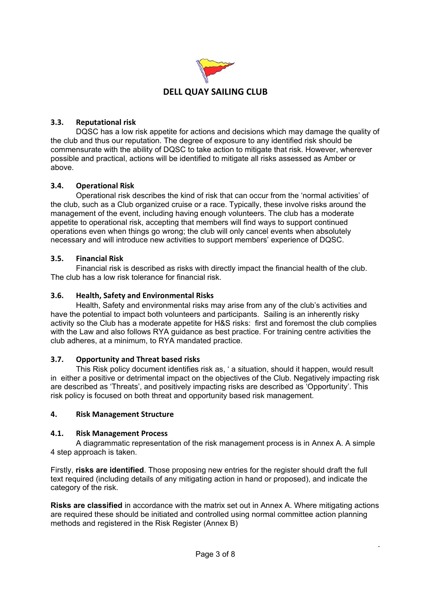

## **3.3. Reputational risk**

 DQSC has a low risk appetite for actions and decisions which may damage the quality of the club and thus our reputation. The degree of exposure to any identified risk should be commensurate with the ability of DQSC to take action to mitigate that risk. However, wherever possible and practical, actions will be identified to mitigate all risks assessed as Amber or above.

## **3.4. Operational Risk**

 Operational risk describes the kind of risk that can occur from the 'normal activities' of the club, such as a Club organized cruise or a race. Typically, these involve risks around the management of the event, including having enough volunteers. The club has a moderate appetite to operational risk, accepting that members will find ways to support continued operations even when things go wrong; the club will only cancel events when absolutely necessary and will introduce new activities to support members' experience of DQSC.

## **3.5. Financial Risk**

 Financial risk is described as risks with directly impact the financial health of the club. The club has a low risk tolerance for financial risk.

## **3.6. Health, Safety and Environmental Risks**

 Health, Safety and environmental risks may arise from any of the club's activities and have the potential to impact both volunteers and participants. Sailing is an inherently risky activity so the Club has a moderate appetite for H&S risks: first and foremost the club complies with the Law and also follows RYA guidance as best practice. For training centre activities the club adheres, at a minimum, to RYA mandated practice.

#### **3.7. Opportunity and Threat based risks**

 This Risk policy document identifies risk as, ' a situation, should it happen, would result in either a positive or detrimental impact on the objectives of the Club. Negatively impacting risk are described as 'Threats', and positively impacting risks are described as 'Opportunity'. This risk policy is focused on both threat and opportunity based risk management.

#### **4. Risk Management Structure**

#### **4.1. Risk Management Process**

 A diagrammatic representation of the risk management process is in Annex A. A simple 4 step approach is taken.

Firstly, **risks are identified**. Those proposing new entries for the register should draft the full text required (including details of any mitigating action in hand or proposed), and indicate the category of the risk.

**Risks are classified** in accordance with the matrix set out in Annex A. Where mitigating actions are required these should be initiated and controlled using normal committee action planning methods and registered in the Risk Register (Annex B)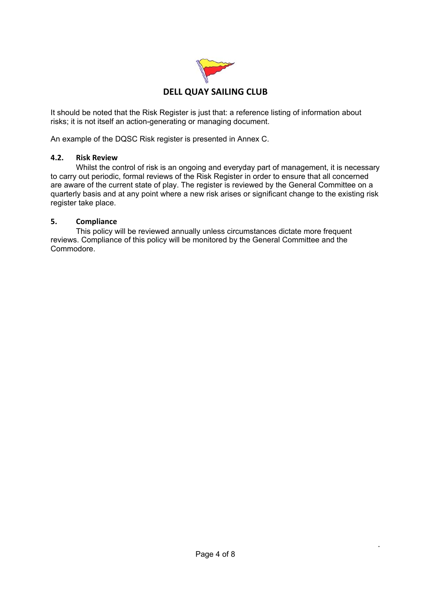

It should be noted that the Risk Register is just that: a reference listing of information about risks; it is not itself an action-generating or managing document.

An example of the DQSC Risk register is presented in Annex C.

#### **4.2. Risk Review**

 Whilst the control of risk is an ongoing and everyday part of management, it is necessary to carry out periodic, formal reviews of the Risk Register in order to ensure that all concerned are aware of the current state of play. The register is reviewed by the General Committee on a quarterly basis and at any point where a new risk arises or significant change to the existing risk register take place.

#### **5. Compliance**

 This policy will be reviewed annually unless circumstances dictate more frequent reviews. Compliance of this policy will be monitored by the General Committee and the Commodore.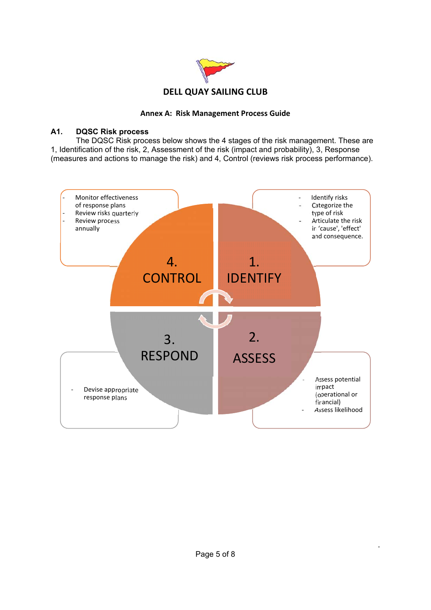

#### **Annex A: Risk Management Process Guide**

#### **A1. DQSC Risk process**

 The DQSC Risk process below shows the 4 stages of the risk management. These are 1, Identification of the risk, 2, Assessment of the risk (impact and probability), 3, Response (measures and actions to manage the risk) and 4, Control (reviews risk process performance).

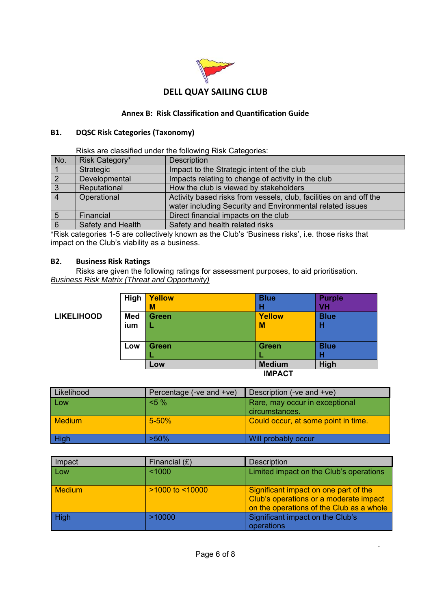

## **Annex B: Risk Classification and Quantification Guide**

#### **B1. DQSC Risk Categories (Taxonomy)**

Risks are classified under the following Risk Categories:

| No.             | Risk Category*    | <b>Description</b>                                                 |
|-----------------|-------------------|--------------------------------------------------------------------|
|                 | Strategic         | Impact to the Strategic intent of the club                         |
| $\overline{2}$  | Developmental     | Impacts relating to change of activity in the club                 |
| $\vert 3$       | Reputational      | How the club is viewed by stakeholders                             |
| $\vert$ 4       | Operational       | Activity based risks from vessels, club, facilities on and off the |
|                 |                   | water including Security and Environmental related issues          |
| $5\overline{5}$ | Financial         | Direct financial impacts on the club                               |
| 6               | Safety and Health | Safety and health related risks                                    |

\*Risk categories 1-5 are collectively known as the Club's 'Business risks', i.e. those risks that impact on the Club's viability as a business.

#### **B2. Business Risk Ratings**

 Risks are given the following ratings for assessment purposes, to aid prioritisation. *Business Risk Matrix (Threat and Opportunity)* 

|                   | High       | <b>Yellow</b><br>M | <b>Blue</b><br>н | <b>Purple</b><br><b>VH</b> |
|-------------------|------------|--------------------|------------------|----------------------------|
| <b>LIKELIHOOD</b> | <b>Med</b> | <b>Green</b>       | <b>Yellow</b>    | <b>Blue</b>                |
|                   | ium        | L                  | M                | н                          |
|                   |            |                    |                  |                            |
|                   | Low        | <b>Green</b>       | <b>Green</b>     | <b>Blue</b>                |
|                   |            | u.                 |                  | н                          |
|                   |            | Low                | <b>Medium</b>    | High                       |
|                   |            |                    | <b>IMPACT</b>    |                            |

| Likelihood    | Percentage (-ve and +ve) | Description (-ve and +ve)                        |
|---------------|--------------------------|--------------------------------------------------|
| Low           | $5\%$                    | Rare, may occur in exceptional<br>circumstances. |
| <b>Medium</b> | $5 - 50%$                | Could occur, at some point in time.              |
| High          | $>50\%$                  | Will probably occur                              |

| Impact        | Financial $(E)$      | <b>Description</b>                                                                                                          |
|---------------|----------------------|-----------------------------------------------------------------------------------------------------------------------------|
| Low           | < 1000               | Limited impact on the Club's operations                                                                                     |
| <b>Medium</b> | $>1000$ to $< 10000$ | Significant impact on one part of the<br>Club's operations or a moderate impact<br>on the operations of the Club as a whole |
| High          | >10000               | Significant impact on the Club's<br>operations                                                                              |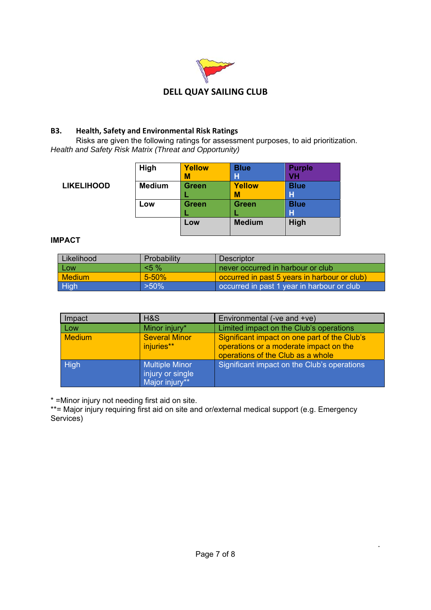

## **B3. Health, Safety and Environmental Risk Ratings**

 Risks are given the following ratings for assessment purposes, to aid prioritization. *Health and Safety Risk Matrix (Threat and Opportunity)* 

|                   | High          | <b>Yellow</b> | <b>Blue</b>   | <b>Purple</b> |
|-------------------|---------------|---------------|---------------|---------------|
|                   |               | M             | н             | VH            |
| <b>LIKELIHOOD</b> | <b>Medium</b> | <b>Green</b>  | <b>Yellow</b> | <b>Blue</b>   |
|                   |               |               | M             | н             |
|                   | Low           | <b>Green</b>  | <b>Green</b>  | <b>Blue</b>   |
|                   |               |               |               | н             |
|                   |               | Low           | <b>Medium</b> | High          |
|                   |               |               |               |               |

#### **IMPACT**

| Likelihood    | Probability | <b>Descriptor</b>                            |
|---------------|-------------|----------------------------------------------|
| Low           | $5\%$       | I never occurred in harbour or club'         |
| <b>Medium</b> | $5 - 50%$   | occurred in past 5 years in harbour or club) |
| High          | $>50\%$     | occurred in past 1 year in harbour or club   |

| Impact        | H&S                                                         | Environmental (-ve and +ve)                                                                                                 |
|---------------|-------------------------------------------------------------|-----------------------------------------------------------------------------------------------------------------------------|
| <b>Low</b>    | Minor injury*                                               | Limited impact on the Club's operations                                                                                     |
| <b>Medium</b> | <b>Several Minor</b><br>injuries**                          | Significant impact on one part of the Club's<br>operations or a moderate impact on the<br>operations of the Club as a whole |
| <b>High</b>   | <b>Multiple Minor</b><br>injury or single<br>Major injury** | Significant impact on the Club's operations                                                                                 |

\* =Minor injury not needing first aid on site.

\*\*= Major injury requiring first aid on site and or/external medical support (e.g. Emergency Services)